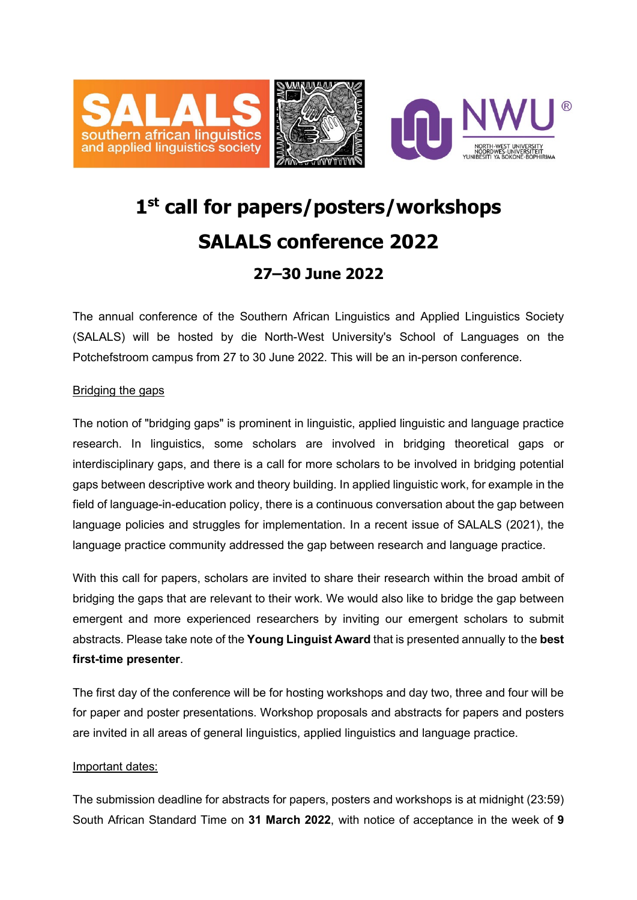

## **1st call for papers/posters/workshops SALALS conference 2022 27–30 June 2022**

The annual conference of the Southern African Linguistics and Applied Linguistics Society (SALALS) will be hosted by die North-West University's School of Languages on the Potchefstroom campus from 27 to 30 June 2022. This will be an in-person conference.

## Bridging the gaps

The notion of "bridging gaps" is prominent in linguistic, applied linguistic and language practice research. In linguistics, some scholars are involved in bridging theoretical gaps or interdisciplinary gaps, and there is a call for more scholars to be involved in bridging potential gaps between descriptive work and theory building. In applied linguistic work, for example in the field of language-in-education policy, there is a continuous conversation about the gap between language policies and struggles for implementation. In a recent issue of SALALS (2021), the language practice community addressed the gap between research and language practice.

With this call for papers, scholars are invited to share their research within the broad ambit of bridging the gaps that are relevant to their work. We would also like to bridge the gap between emergent and more experienced researchers by inviting our emergent scholars to submit abstracts. Please take note of the **Young Linguist Award** that is presented annually to the **best first-time presenter**.

The first day of the conference will be for hosting workshops and day two, three and four will be for paper and poster presentations. Workshop proposals and abstracts for papers and posters are invited in all areas of general linguistics, applied linguistics and language practice.

## Important dates:

The submission deadline for abstracts for papers, posters and workshops is at midnight (23:59) South African Standard Time on **31 March 2022**, with notice of acceptance in the week of **9**